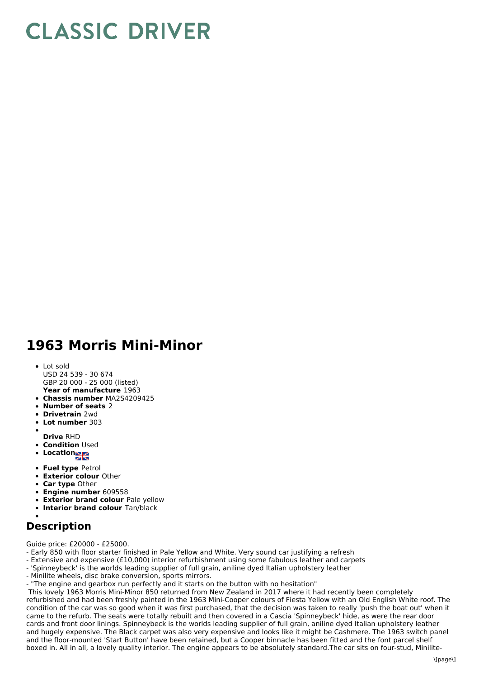## **CLASSIC DRIVER**

## **1963 Morris Mini-Minor**

- **Year of manufacture** 1963 Lot sold USD 24 539 - 30 674 GBP 20 000 - 25 000 (listed)
- **Chassis number** MA2S4209425
- **Number of seats** 2
- **Drivetrain** 2wd
- **Lot number** 303
- 
- **Drive** RHD
- **Condition Used**
- **Location**
- **Fuel type** Petrol
- **Exterior colour** Other
- **Car type** Other  $\bullet$
- **Engine number** 609558
- **Exterior brand colour** Pale yellow
- **Interior brand colour** Tan/black

## **Description**

Guide price: £20000 - £25000.

- Early 850 with floor starter finished in Pale Yellow and White. Very sound car justifying a refresh
- Extensive and expensive (£10,000) interior refurbishment using some fabulous leather and carpets
- 'Spinneybeck' is the worlds leading supplier of full grain, aniline dyed Italian upholstery leather
- Minilite wheels, disc brake conversion, sports mirrors.
- "The engine and gearbox run perfectly and it starts on the button with no hesitation"

This lovely 1963 Morris Mini-Minor 850 returned from New Zealand in 2017 where it had recently been completely refurbished and had been freshly painted in the 1963 Mini-Cooper colours of Fiesta Yellow with an Old English White roof. The condition of the car was so good when it was first purchased, that the decision was taken to really 'push the boat out' when it came to the refurb. The seats were totally rebuilt and then covered in a Cascia 'Spinneybeck' hide, as were the rear door cards and front door linings. Spinneybeck is the worlds leading supplier of full grain, aniline dyed Italian upholstery leather and hugely expensive. The Black carpet was also very expensive and looks like it might be Cashmere. The 1963 switch panel and the floor-mounted 'Start Button' have been retained, but a Cooper binnacle has been fitted and the font parcel shelf boxed in. All in all, a lovely quality interior. The engine appears to be absolutely standard.The car sits on four-stud, Minilite